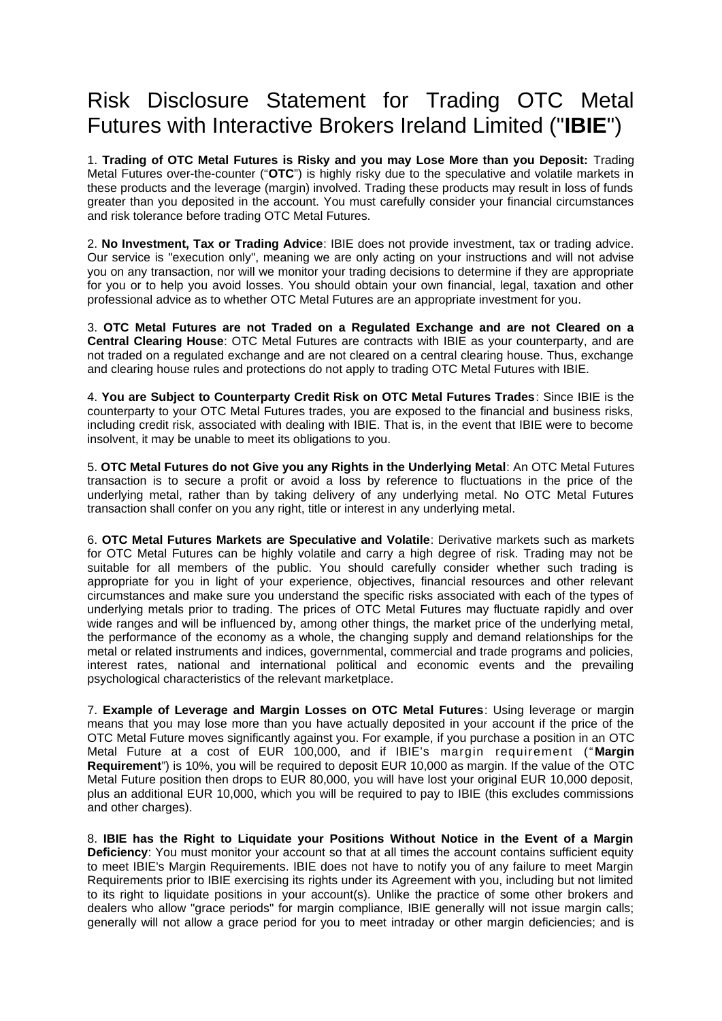## Risk Disclosure Statement for Trading OTC Metal Futures with Interactive Brokers Ireland Limited ("**IBIE**")

1. **Trading of OTC Metal Futures is Risky and you may Lose More than you Deposit:** Trading Metal Futures over-the-counter ("**OTC**") is highly risky due to the speculative and volatile markets in these products and the leverage (margin) involved. Trading these products may result in loss of funds greater than you deposited in the account. You must carefully consider your financial circumstances and risk tolerance before trading OTC Metal Futures.

2. **No Investment, Tax or Trading Advice**: IBIE does not provide investment, tax or trading advice. Our service is "execution only", meaning we are only acting on your instructions and will not advise you on any transaction, nor will we monitor your trading decisions to determine if they are appropriate for you or to help you avoid losses. You should obtain your own financial, legal, taxation and other professional advice as to whether OTC Metal Futures are an appropriate investment for you.

3. **OTC Metal Futures are not Traded on a Regulated Exchange and are not Cleared on a Central Clearing House**: OTC Metal Futures are contracts with IBIE as your counterparty, and are not traded on a regulated exchange and are not cleared on a central clearing house. Thus, exchange and clearing house rules and protections do not apply to trading OTC Metal Futures with IBIE.

4. **You are Subject to Counterparty Credit Risk on OTC Metal Futures Trades**: Since IBIE is the counterparty to your OTC Metal Futures trades, you are exposed to the financial and business risks, including credit risk, associated with dealing with IBIE. That is, in the event that IBIE were to become insolvent, it may be unable to meet its obligations to you.

5. **OTC Metal Futures do not Give you any Rights in the Underlying Metal**: An OTC Metal Futures transaction is to secure a profit or avoid a loss by reference to fluctuations in the price of the underlying metal, rather than by taking delivery of any underlying metal. No OTC Metal Futures transaction shall confer on you any right, title or interest in any underlying metal.

6. **OTC Metal Futures Markets are Speculative and Volatile**: Derivative markets such as markets for OTC Metal Futures can be highly volatile and carry a high degree of risk. Trading may not be suitable for all members of the public. You should carefully consider whether such trading is appropriate for you in light of your experience, objectives, financial resources and other relevant circumstances and make sure you understand the specific risks associated with each of the types of underlying metals prior to trading. The prices of OTC Metal Futures may fluctuate rapidly and over wide ranges and will be influenced by, among other things, the market price of the underlying metal, the performance of the economy as a whole, the changing supply and demand relationships for the metal or related instruments and indices, governmental, commercial and trade programs and policies, interest rates, national and international political and economic events and the prevailing psychological characteristics of the relevant marketplace.

7. **Example of Leverage and Margin Losses on OTC Metal Futures**: Using leverage or margin means that you may lose more than you have actually deposited in your account if the price of the OTC Metal Future moves significantly against you. For example, if you purchase a position in an OTC Metal Future at a cost of EUR 100,000, and if IBIE's margin requirement ("**Margin Requirement**") is 10%, you will be required to deposit EUR 10,000 as margin. If the value of the OTC Metal Future position then drops to EUR 80,000, you will have lost your original EUR 10,000 deposit, plus an additional EUR 10,000, which you will be required to pay to IBIE (this excludes commissions and other charges).

8. **IBIE has the Right to Liquidate your Positions Without Notice in the Event of a Margin Deficiency**: You must monitor your account so that at all times the account contains sufficient equity to meet IBIE's Margin Requirements. IBIE does not have to notify you of any failure to meet Margin Requirements prior to IBIE exercising its rights under its Agreement with you, including but not limited to its right to liquidate positions in your account(s). Unlike the practice of some other brokers and dealers who allow "grace periods" for margin compliance, IBIE generally will not issue margin calls; generally will not allow a grace period for you to meet intraday or other margin deficiencies; and is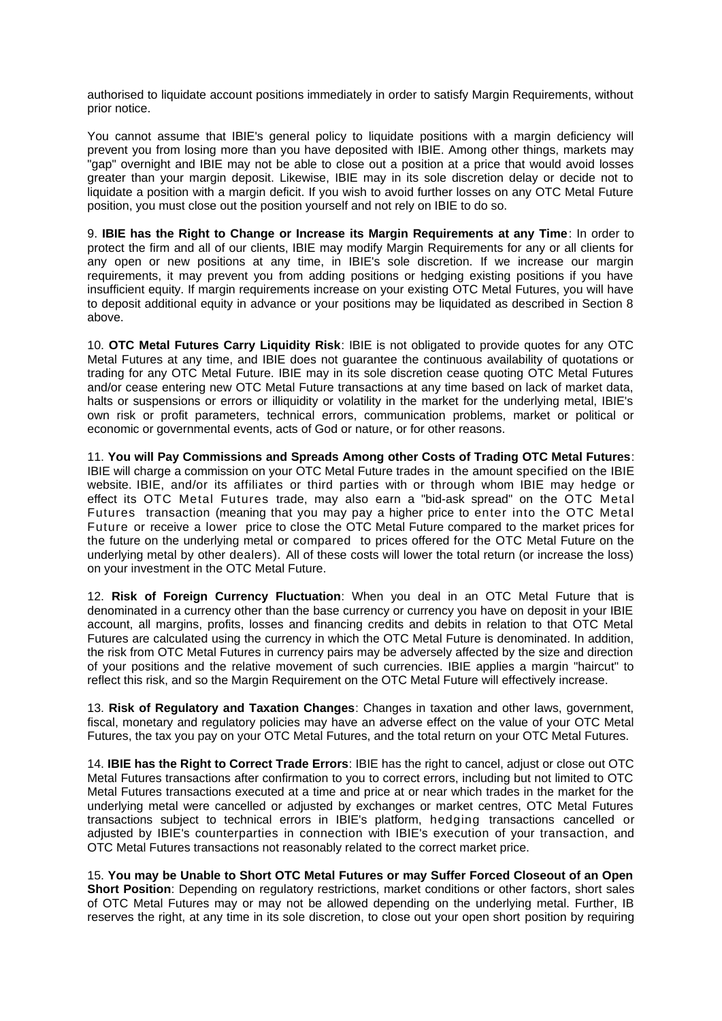authorised to liquidate account positions immediately in order to satisfy Margin Requirements, without prior notice.

You cannot assume that IBIE's general policy to liquidate positions with a margin deficiency will prevent you from losing more than you have deposited with IBIE. Among other things, markets may "gap" overnight and IBIE may not be able to close out a position at a price that would avoid losses greater than your margin deposit. Likewise, IBIE may in its sole discretion delay or decide not to liquidate a position with a margin deficit. If you wish to avoid further losses on any OTC Metal Future position, you must close out the position yourself and not rely on IBIE to do so.

9. **IBIE has the Right to Change or Increase its Margin Requirements at any Time**: In order to protect the firm and all of our clients, IBIE may modify Margin Requirements for any or all clients for any open or new positions at any time, in IBIE's sole discretion. If we increase our margin requirements, it may prevent you from adding positions or hedging existing positions if you have insufficient equity. If margin requirements increase on your existing OTC Metal Futures, you will have to deposit additional equity in advance or your positions may be liquidated as described in Section 8 above.

10. **OTC Metal Futures Carry Liquidity Risk**: IBIE is not obligated to provide quotes for any OTC Metal Futures at any time, and IBIE does not guarantee the continuous availability of quotations or trading for any OTC Metal Future. IBIE may in its sole discretion cease quoting OTC Metal Futures and/or cease entering new OTC Metal Future transactions at any time based on lack of market data, halts or suspensions or errors or illiquidity or volatility in the market for the underlying metal, IBIE's own risk or profit parameters, technical errors, communication problems, market or political or economic or governmental events, acts of God or nature, or for other reasons.

11. **You will Pay Commissions and Spreads Among other Costs of Trading OTC Metal Futures**: IBIE will charge a commission on your OTC Metal Future trades in the amount specified on the IBIE website. IBIE, and/or its affiliates or third parties with or through whom IBIE may hedge or effect its OTC Metal Futures trade, may also earn a "bid-ask spread" on the OTC Metal Futures transaction (meaning that you may pay a higher price to enter into the OTC Metal Future or receive a lower price to close the OTC Metal Future compared to the market prices for the future on the underlying metal or compared to prices offered for the OTC Metal Future on the underlying metal by other dealers). All of these costs will lower the total return (or increase the loss) on your investment in the OTC Metal Future.

12. **Risk of Foreign Currency Fluctuation**: When you deal in an OTC Metal Future that is denominated in a currency other than the base currency or currency you have on deposit in your IBIE account, all margins, profits, losses and financing credits and debits in relation to that OTC Metal Futures are calculated using the currency in which the OTC Metal Future is denominated. In addition, the risk from OTC Metal Futures in currency pairs may be adversely affected by the size and direction of your positions and the relative movement of such currencies. IBIE applies a margin "haircut" to reflect this risk, and so the Margin Requirement on the OTC Metal Future will effectively increase.

13. **Risk of Regulatory and Taxation Changes**: Changes in taxation and other laws, government, fiscal, monetary and regulatory policies may have an adverse effect on the value of your OTC Metal Futures, the tax you pay on your OTC Metal Futures, and the total return on your OTC Metal Futures.

14. **IBIE has the Right to Correct Trade Errors**: IBIE has the right to cancel, adjust or close out OTC Metal Futures transactions after confirmation to you to correct errors, including but not limited to OTC Metal Futures transactions executed at a time and price at or near which trades in the market for the underlying metal were cancelled or adjusted by exchanges or market centres, OTC Metal Futures transactions subject to technical errors in IBIE's platform, hedging transactions cancelled or adjusted by IBIE's counterparties in connection with IBIE's execution of your transaction, and OTC Metal Futures transactions not reasonably related to the correct market price.

15. **You may be Unable to Short OTC Metal Futures or may Suffer Forced Closeout of an Open Short Position**: Depending on regulatory restrictions, market conditions or other factors, short sales of OTC Metal Futures may or may not be allowed depending on the underlying metal. Further, IB reserves the right, at any time in its sole discretion, to close out your open short position by requiring